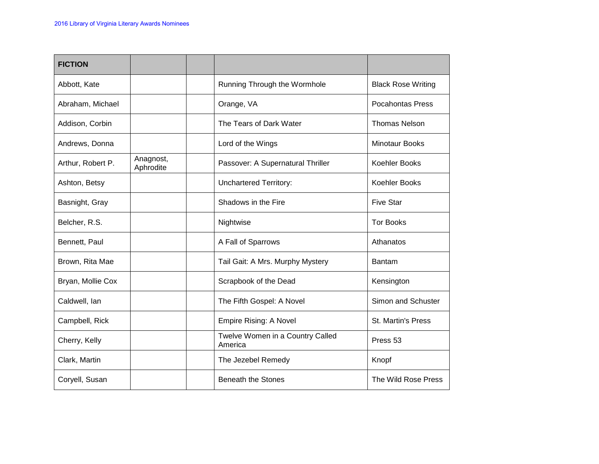| <b>FICTION</b>    |                        |                                             |                           |
|-------------------|------------------------|---------------------------------------------|---------------------------|
| Abbott, Kate      |                        | Running Through the Wormhole                | <b>Black Rose Writing</b> |
| Abraham, Michael  |                        | Orange, VA                                  | <b>Pocahontas Press</b>   |
| Addison, Corbin   |                        | The Tears of Dark Water                     | <b>Thomas Nelson</b>      |
| Andrews, Donna    |                        | Lord of the Wings                           | <b>Minotaur Books</b>     |
| Arthur, Robert P. | Anagnost,<br>Aphrodite | Passover: A Supernatural Thriller           | Koehler Books             |
| Ashton, Betsy     |                        | <b>Unchartered Territory:</b>               | Koehler Books             |
| Basnight, Gray    |                        | Shadows in the Fire                         | <b>Five Star</b>          |
| Belcher, R.S.     |                        | Nightwise                                   | <b>Tor Books</b>          |
| Bennett, Paul     |                        | A Fall of Sparrows                          | Athanatos                 |
| Brown, Rita Mae   |                        | Tail Gait: A Mrs. Murphy Mystery            | <b>Bantam</b>             |
| Bryan, Mollie Cox |                        | Scrapbook of the Dead                       | Kensington                |
| Caldwell, Ian     |                        | The Fifth Gospel: A Novel                   | Simon and Schuster        |
| Campbell, Rick    |                        | <b>Empire Rising: A Novel</b>               | <b>St. Martin's Press</b> |
| Cherry, Kelly     |                        | Twelve Women in a Country Called<br>America | Press <sub>53</sub>       |
| Clark, Martin     |                        | The Jezebel Remedy                          | Knopf                     |
| Coryell, Susan    |                        | <b>Beneath the Stones</b>                   | The Wild Rose Press       |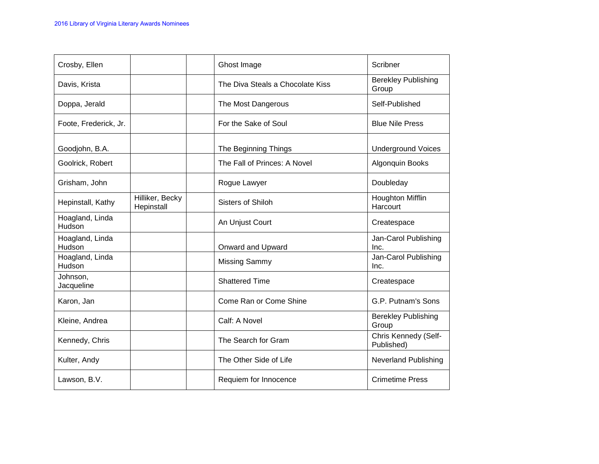| Crosby, Ellen             |                               | Ghost Image                      | Scribner                            |
|---------------------------|-------------------------------|----------------------------------|-------------------------------------|
| Davis, Krista             |                               | The Diva Steals a Chocolate Kiss | <b>Berekley Publishing</b><br>Group |
| Doppa, Jerald             |                               | The Most Dangerous               | Self-Published                      |
| Foote, Frederick, Jr.     |                               | For the Sake of Soul             | <b>Blue Nile Press</b>              |
| Goodjohn, B.A.            |                               | The Beginning Things             | <b>Underground Voices</b>           |
| Goolrick, Robert          |                               | The Fall of Princes: A Novel     | Algonquin Books                     |
| Grisham, John             |                               | Rogue Lawyer                     | Doubleday                           |
| Hepinstall, Kathy         | Hilliker, Becky<br>Hepinstall | <b>Sisters of Shiloh</b>         | <b>Houghton Mifflin</b><br>Harcourt |
| Hoagland, Linda<br>Hudson |                               | An Unjust Court                  | Createspace                         |
| Hoagland, Linda<br>Hudson |                               | Onward and Upward                | Jan-Carol Publishing<br>Inc.        |
| Hoagland, Linda<br>Hudson |                               | <b>Missing Sammy</b>             | Jan-Carol Publishing<br>Inc.        |
| Johnson,<br>Jacqueline    |                               | <b>Shattered Time</b>            | Createspace                         |
| Karon, Jan                |                               | Come Ran or Come Shine           | G.P. Putnam's Sons                  |
| Kleine, Andrea            |                               | Calf: A Novel                    | <b>Berekley Publishing</b><br>Group |
| Kennedy, Chris            |                               | The Search for Gram              | Chris Kennedy (Self-<br>Published)  |
| Kulter, Andy              |                               | The Other Side of Life           | <b>Neverland Publishing</b>         |
| Lawson, B.V.              |                               | Requiem for Innocence            | <b>Crimetime Press</b>              |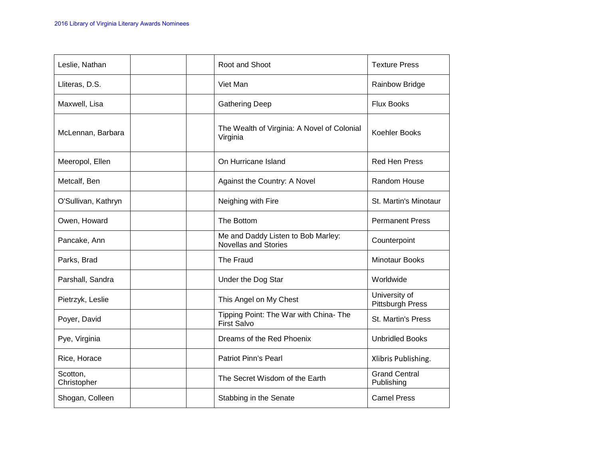| Leslie, Nathan          | Root and Shoot                                                    | <b>Texture Press</b>                     |
|-------------------------|-------------------------------------------------------------------|------------------------------------------|
| Lliteras, D.S.          | Viet Man                                                          | <b>Rainbow Bridge</b>                    |
| Maxwell, Lisa           | <b>Gathering Deep</b>                                             | <b>Flux Books</b>                        |
| McLennan, Barbara       | The Wealth of Virginia: A Novel of Colonial<br>Virginia           | <b>Koehler Books</b>                     |
| Meeropol, Ellen         | On Hurricane Island                                               | <b>Red Hen Press</b>                     |
| Metcalf, Ben            | Against the Country: A Novel                                      | Random House                             |
| O'Sullivan, Kathryn     | Neighing with Fire                                                | St. Martin's Minotaur                    |
| Owen, Howard            | The Bottom                                                        | <b>Permanent Press</b>                   |
| Pancake, Ann            | Me and Daddy Listen to Bob Marley:<br><b>Novellas and Stories</b> | Counterpoint                             |
| Parks, Brad             | The Fraud                                                         | <b>Minotaur Books</b>                    |
| Parshall, Sandra        | Under the Dog Star                                                | Worldwide                                |
| Pietrzyk, Leslie        | This Angel on My Chest                                            | University of<br><b>Pittsburgh Press</b> |
| Poyer, David            | Tipping Point: The War with China- The<br><b>First Salvo</b>      | <b>St. Martin's Press</b>                |
| Pye, Virginia           | Dreams of the Red Phoenix                                         | <b>Unbridled Books</b>                   |
| Rice, Horace            | <b>Patriot Pinn's Pearl</b>                                       | Xlibris Publishing.                      |
| Scotton,<br>Christopher | The Secret Wisdom of the Earth                                    | <b>Grand Central</b><br>Publishing       |
| Shogan, Colleen         | Stabbing in the Senate                                            | <b>Camel Press</b>                       |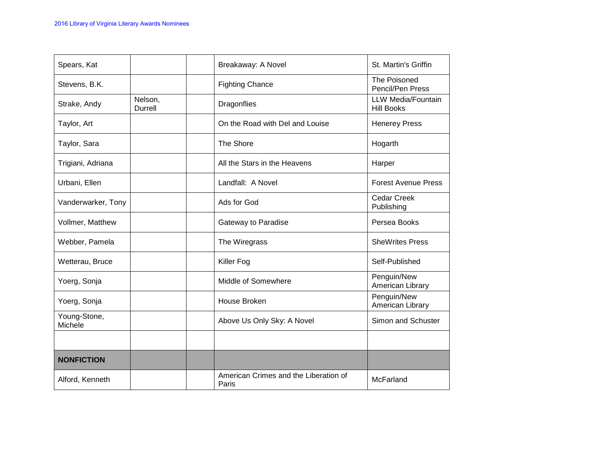| Spears, Kat             |                    | Breakaway: A Novel                             | St. Martin's Griffin                    |
|-------------------------|--------------------|------------------------------------------------|-----------------------------------------|
| Stevens, B.K.           |                    | <b>Fighting Chance</b>                         | The Poisoned<br>Pencil/Pen Press        |
| Strake, Andy            | Nelson,<br>Durrell | Dragonflies                                    | LLW Media/Fountain<br><b>Hill Books</b> |
| Taylor, Art             |                    | On the Road with Del and Louise                | <b>Henerey Press</b>                    |
| Taylor, Sara            |                    | The Shore                                      | Hogarth                                 |
| Trigiani, Adriana       |                    | All the Stars in the Heavens                   | Harper                                  |
| Urbani, Ellen           |                    | Landfall: A Novel                              | <b>Forest Avenue Press</b>              |
| Vanderwarker, Tony      |                    | Ads for God                                    | <b>Cedar Creek</b><br>Publishing        |
| Vollmer, Matthew        |                    | Gateway to Paradise                            | Persea Books                            |
| Webber, Pamela          |                    | The Wiregrass                                  | <b>SheWrites Press</b>                  |
| Wetterau, Bruce         |                    | Killer Fog                                     | Self-Published                          |
| Yoerg, Sonja            |                    | Middle of Somewhere                            | Penguin/New<br>American Library         |
| Yoerg, Sonja            |                    | House Broken                                   | Penguin/New<br>American Library         |
| Young-Stone,<br>Michele |                    | Above Us Only Sky: A Novel                     | Simon and Schuster                      |
|                         |                    |                                                |                                         |
| <b>NONFICTION</b>       |                    |                                                |                                         |
| Alford, Kenneth         |                    | American Crimes and the Liberation of<br>Paris | McFarland                               |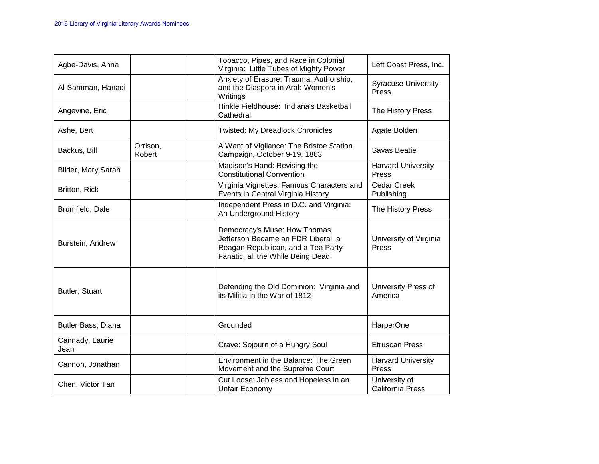| Agbe-Davis, Anna        |                    | Tobacco, Pipes, and Race in Colonial<br>Virginia: Little Tubes of Mighty Power                                                                 | Left Coast Press, Inc.                    |
|-------------------------|--------------------|------------------------------------------------------------------------------------------------------------------------------------------------|-------------------------------------------|
| Al-Samman, Hanadi       |                    | Anxiety of Erasure: Trauma, Authorship,<br>and the Diaspora in Arab Women's<br>Writings                                                        | <b>Syracuse University</b><br>Press       |
| Angevine, Eric          |                    | Hinkle Fieldhouse: Indiana's Basketball<br>Cathedral                                                                                           | The History Press                         |
| Ashe, Bert              |                    | <b>Twisted: My Dreadlock Chronicles</b>                                                                                                        | Agate Bolden                              |
| Backus, Bill            | Orrison,<br>Robert | A Want of Vigilance: The Bristoe Station<br>Campaign, October 9-19, 1863                                                                       | Savas Beatie                              |
| Bilder, Mary Sarah      |                    | Madison's Hand: Revising the<br><b>Constitutional Convention</b>                                                                               | <b>Harvard University</b><br>Press        |
| Britton, Rick           |                    | Virginia Vignettes: Famous Characters and<br>Events in Central Virginia History                                                                | <b>Cedar Creek</b><br>Publishing          |
| Brumfield, Dale         |                    | Independent Press in D.C. and Virginia:<br>An Underground History                                                                              | The History Press                         |
| Burstein, Andrew        |                    | Democracy's Muse: How Thomas<br>Jefferson Became an FDR Liberal, a<br>Reagan Republican, and a Tea Party<br>Fanatic, all the While Being Dead. | University of Virginia<br>Press           |
| Butler, Stuart          |                    | Defending the Old Dominion: Virginia and<br>its Militia in the War of 1812                                                                     | University Press of<br>America            |
| Butler Bass, Diana      |                    | Grounded                                                                                                                                       | HarperOne                                 |
| Cannady, Laurie<br>Jean |                    | Crave: Sojourn of a Hungry Soul                                                                                                                | <b>Etruscan Press</b>                     |
| Cannon, Jonathan        |                    | Environment in the Balance: The Green<br>Movement and the Supreme Court                                                                        | <b>Harvard University</b><br><b>Press</b> |
| Chen, Victor Tan        |                    | Cut Loose: Jobless and Hopeless in an<br>Unfair Economy                                                                                        | University of<br><b>California Press</b>  |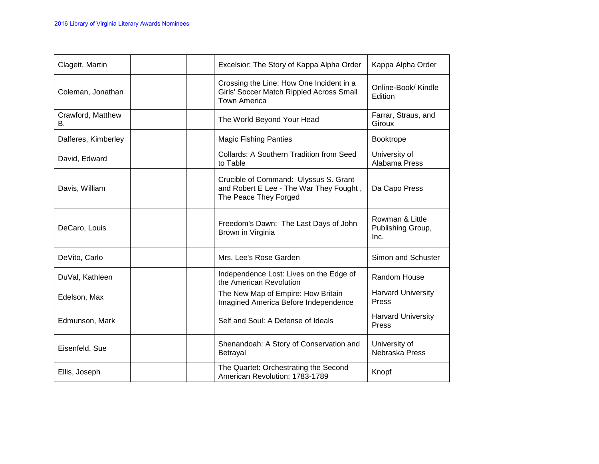| Clagett, Martin         | Excelsior: The Story of Kappa Alpha Order                                                                   | Kappa Alpha Order                            |
|-------------------------|-------------------------------------------------------------------------------------------------------------|----------------------------------------------|
| Coleman, Jonathan       | Crossing the Line: How One Incident in a<br>Girls' Soccer Match Rippled Across Small<br><b>Town America</b> | Online-Book/ Kindle<br>Edition               |
| Crawford, Matthew<br>В. | The World Beyond Your Head                                                                                  | Farrar, Straus, and<br>Giroux                |
| Dalferes, Kimberley     | <b>Magic Fishing Panties</b>                                                                                | <b>Booktrope</b>                             |
| David, Edward           | <b>Collards: A Southern Tradition from Seed</b><br>to Table                                                 | University of<br>Alabama Press               |
| Davis, William          | Crucible of Command: Ulyssus S. Grant<br>and Robert E Lee - The War They Fought,<br>The Peace They Forged   | Da Capo Press                                |
| DeCaro, Louis           | Freedom's Dawn: The Last Days of John<br>Brown in Virginia                                                  | Rowman & Little<br>Publishing Group,<br>Inc. |
| DeVito, Carlo           | Mrs. Lee's Rose Garden                                                                                      | Simon and Schuster                           |
| DuVal, Kathleen         | Independence Lost: Lives on the Edge of<br>the American Revolution                                          | <b>Random House</b>                          |
| Edelson, Max            | The New Map of Empire: How Britain<br>Imagined America Before Independence                                  | <b>Harvard University</b><br>Press           |
| Edmunson, Mark          | Self and Soul: A Defense of Ideals                                                                          | <b>Harvard University</b><br>Press           |
| Eisenfeld, Sue          | Shenandoah: A Story of Conservation and<br>Betrayal                                                         | University of<br>Nebraska Press              |
| Ellis, Joseph           | The Quartet: Orchestrating the Second<br>American Revolution: 1783-1789                                     | Knopf                                        |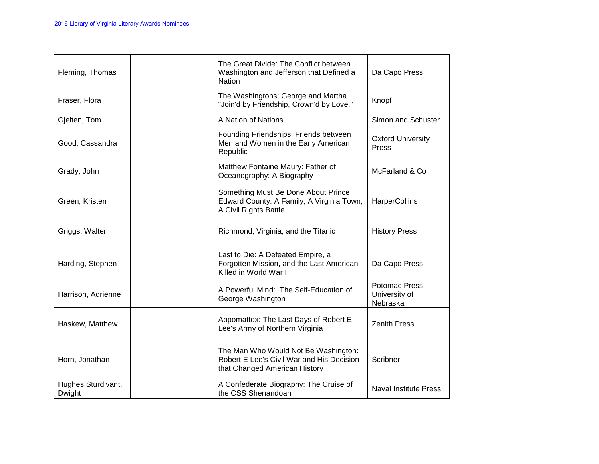| Fleming, Thomas              | The Great Divide: The Conflict between<br>Washington and Jefferson that Defined a<br><b>Nation</b>                 | Da Capo Press                               |
|------------------------------|--------------------------------------------------------------------------------------------------------------------|---------------------------------------------|
| Fraser, Flora                | The Washingtons: George and Martha<br>"Join'd by Friendship, Crown'd by Love."                                     | Knopf                                       |
| Gjelten, Tom                 | A Nation of Nations                                                                                                | Simon and Schuster                          |
| Good, Cassandra              | Founding Friendships: Friends between<br>Men and Women in the Early American<br>Republic                           | <b>Oxford University</b><br>Press           |
| Grady, John                  | Matthew Fontaine Maury: Father of<br>Oceanography: A Biography                                                     | McFarland & Co                              |
| Green, Kristen               | Something Must Be Done About Prince<br>Edward County: A Family, A Virginia Town,<br>A Civil Rights Battle          | HarperCollins                               |
| Griggs, Walter               | Richmond, Virginia, and the Titanic                                                                                | <b>History Press</b>                        |
| Harding, Stephen             | Last to Die: A Defeated Empire, a<br>Forgotten Mission, and the Last American<br>Killed in World War II            | Da Capo Press                               |
| Harrison, Adrienne           | A Powerful Mind: The Self-Education of<br>George Washington                                                        | Potomac Press:<br>University of<br>Nebraska |
| Haskew, Matthew              | Appomattox: The Last Days of Robert E.<br>Lee's Army of Northern Virginia                                          | <b>Zenith Press</b>                         |
| Horn, Jonathan               | The Man Who Would Not Be Washington:<br>Robert E Lee's Civil War and His Decision<br>that Changed American History | Scribner                                    |
| Hughes Sturdivant,<br>Dwight | A Confederate Biography: The Cruise of<br>the CSS Shenandoah                                                       | Naval Institute Press                       |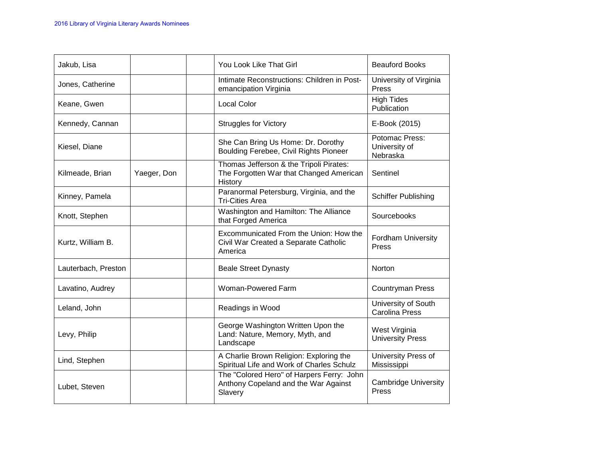| Jakub, Lisa         |             | You Look Like That Girl                                                                       | <b>Beauford Books</b>                        |
|---------------------|-------------|-----------------------------------------------------------------------------------------------|----------------------------------------------|
| Jones, Catherine    |             | Intimate Reconstructions: Children in Post-<br>emancipation Virginia                          | University of Virginia<br>Press              |
| Keane, Gwen         |             | <b>Local Color</b>                                                                            | <b>High Tides</b><br>Publication             |
| Kennedy, Cannan     |             | <b>Struggles for Victory</b>                                                                  | E-Book (2015)                                |
| Kiesel, Diane       |             | She Can Bring Us Home: Dr. Dorothy<br>Boulding Ferebee, Civil Rights Pioneer                  | Potomac Press:<br>University of<br>Nebraska  |
| Kilmeade, Brian     | Yaeger, Don | Thomas Jefferson & the Tripoli Pirates:<br>The Forgotten War that Changed American<br>History | Sentinel                                     |
| Kinney, Pamela      |             | Paranormal Petersburg, Virginia, and the<br><b>Tri-Cities Area</b>                            | Schiffer Publishing                          |
| Knott, Stephen      |             | Washington and Hamilton: The Alliance<br>that Forged America                                  | Sourcebooks                                  |
| Kurtz, William B.   |             | Excommunicated From the Union: How the<br>Civil War Created a Separate Catholic<br>America    | <b>Fordham University</b><br><b>Press</b>    |
| Lauterbach, Preston |             | <b>Beale Street Dynasty</b>                                                                   | <b>Norton</b>                                |
| Lavatino, Audrey    |             | Woman-Powered Farm                                                                            | <b>Countryman Press</b>                      |
| Leland, John        |             | Readings in Wood                                                                              | University of South<br><b>Carolina Press</b> |
| Levy, Philip        |             | George Washington Written Upon the<br>Land: Nature, Memory, Myth, and<br>Landscape            | West Virginia<br><b>University Press</b>     |
| Lind, Stephen       |             | A Charlie Brown Religion: Exploring the<br>Spiritual Life and Work of Charles Schulz          | University Press of<br>Mississippi           |
| Lubet, Steven       |             | The "Colored Hero" of Harpers Ferry: John<br>Anthony Copeland and the War Against<br>Slavery  | <b>Cambridge University</b><br>Press         |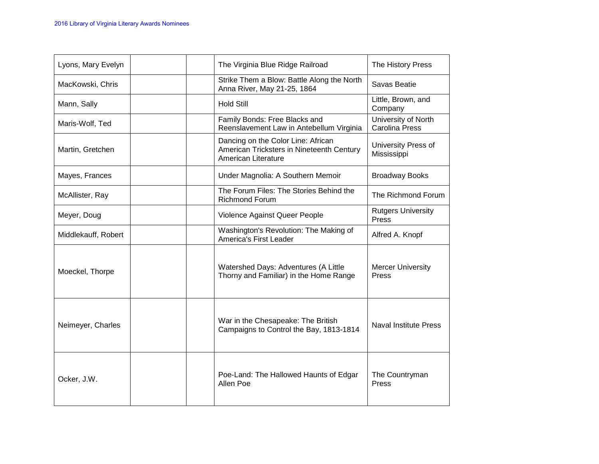| Lyons, Mary Evelyn  |  | The Virginia Blue Ridge Railroad                                                                       | The History Press                            |
|---------------------|--|--------------------------------------------------------------------------------------------------------|----------------------------------------------|
| MacKowski, Chris    |  | Strike Them a Blow: Battle Along the North<br>Anna River, May 21-25, 1864                              | Savas Beatie                                 |
| Mann, Sally         |  | <b>Hold Still</b>                                                                                      | Little, Brown, and<br>Company                |
| Maris-Wolf, Ted     |  | Family Bonds: Free Blacks and<br>Reenslavement Law in Antebellum Virginia                              | University of North<br><b>Carolina Press</b> |
| Martin, Gretchen    |  | Dancing on the Color Line: African<br>American Tricksters in Nineteenth Century<br>American Literature | University Press of<br>Mississippi           |
| Mayes, Frances      |  | Under Magnolia: A Southern Memoir                                                                      | <b>Broadway Books</b>                        |
| McAllister, Ray     |  | The Forum Files: The Stories Behind the<br><b>Richmond Forum</b>                                       | The Richmond Forum                           |
| Meyer, Doug         |  | Violence Against Queer People                                                                          | <b>Rutgers University</b><br>Press           |
| Middlekauff, Robert |  | Washington's Revolution: The Making of<br>America's First Leader                                       | Alfred A. Knopf                              |
| Moeckel, Thorpe     |  | Watershed Days: Adventures (A Little<br>Thorny and Familiar) in the Home Range                         | <b>Mercer University</b><br>Press            |
| Neimeyer, Charles   |  | War in the Chesapeake: The British<br>Campaigns to Control the Bay, 1813-1814                          | <b>Naval Institute Press</b>                 |
| Ocker, J.W.         |  | Poe-Land: The Hallowed Haunts of Edgar<br>Allen Poe                                                    | The Countryman<br>Press                      |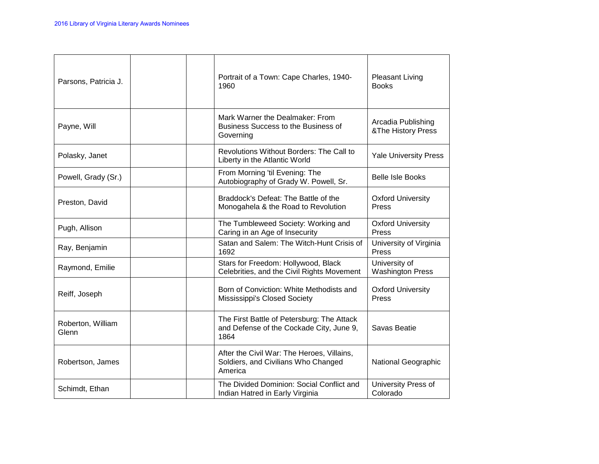| Parsons, Patricia J.       | Portrait of a Town: Cape Charles, 1940-<br>1960                                                | <b>Pleasant Living</b><br><b>Books</b>   |
|----------------------------|------------------------------------------------------------------------------------------------|------------------------------------------|
| Payne, Will                | Mark Warner the Dealmaker: From<br>Business Success to the Business of<br>Governing            | Arcadia Publishing<br>&The History Press |
| Polasky, Janet             | Revolutions Without Borders: The Call to<br>Liberty in the Atlantic World                      | <b>Yale University Press</b>             |
| Powell, Grady (Sr.)        | From Morning 'til Evening: The<br>Autobiography of Grady W. Powell, Sr.                        | <b>Belle Isle Books</b>                  |
| Preston, David             | Braddock's Defeat: The Battle of the<br>Monogahela & the Road to Revolution                    | <b>Oxford University</b><br>Press        |
| Pugh, Allison              | The Tumbleweed Society: Working and<br>Caring in an Age of Insecurity                          | <b>Oxford University</b><br>Press        |
| Ray, Benjamin              | Satan and Salem: The Witch-Hunt Crisis of<br>1692                                              | University of Virginia<br>Press          |
| Raymond, Emilie            | Stars for Freedom: Hollywood, Black<br>Celebrities, and the Civil Rights Movement              | University of<br><b>Washington Press</b> |
| Reiff, Joseph              | Born of Conviction: White Methodists and<br>Mississippi's Closed Society                       | <b>Oxford University</b><br>Press        |
| Roberton, William<br>Glenn | The First Battle of Petersburg: The Attack<br>and Defense of the Cockade City, June 9,<br>1864 | Savas Beatie                             |
| Robertson, James           | After the Civil War: The Heroes, Villains,<br>Soldiers, and Civilians Who Changed<br>America   | National Geographic                      |
| Schimdt, Ethan             | The Divided Dominion: Social Conflict and<br>Indian Hatred in Early Virginia                   | University Press of<br>Colorado          |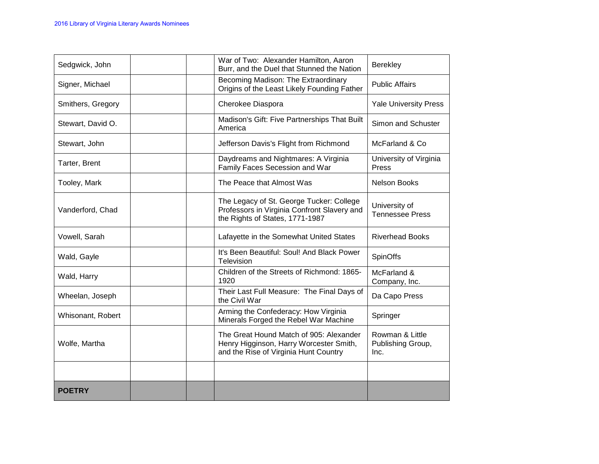| Sedgwick, John    |  | War of Two: Alexander Hamilton, Aaron<br>Burr, and the Duel that Stunned the Nation                                         | Berekley                                     |
|-------------------|--|-----------------------------------------------------------------------------------------------------------------------------|----------------------------------------------|
| Signer, Michael   |  | Becoming Madison: The Extraordinary<br>Origins of the Least Likely Founding Father                                          | <b>Public Affairs</b>                        |
| Smithers, Gregory |  | Cherokee Diaspora                                                                                                           | <b>Yale University Press</b>                 |
| Stewart, David O. |  | Madison's Gift: Five Partnerships That Built<br>America                                                                     | Simon and Schuster                           |
| Stewart, John     |  | Jefferson Davis's Flight from Richmond                                                                                      | McFarland & Co.                              |
| Tarter, Brent     |  | Daydreams and Nightmares: A Virginia<br>Family Faces Secession and War                                                      | University of Virginia<br>Press              |
| Tooley, Mark      |  | The Peace that Almost Was                                                                                                   | <b>Nelson Books</b>                          |
| Vanderford, Chad  |  | The Legacy of St. George Tucker: College<br>Professors in Virginia Confront Slavery and<br>the Rights of States, 1771-1987  | University of<br><b>Tennessee Press</b>      |
| Vowell, Sarah     |  | Lafayette in the Somewhat United States                                                                                     | <b>Riverhead Books</b>                       |
| Wald, Gayle       |  | It's Been Beautiful: Soul! And Black Power<br>Television                                                                    | SpinOffs                                     |
| Wald, Harry       |  | Children of the Streets of Richmond: 1865-<br>1920                                                                          | McFarland &<br>Company, Inc.                 |
| Wheelan, Joseph   |  | Their Last Full Measure: The Final Days of<br>the Civil War                                                                 | Da Capo Press                                |
| Whisonant, Robert |  | Arming the Confederacy: How Virginia<br>Minerals Forged the Rebel War Machine                                               | Springer                                     |
| Wolfe, Martha     |  | The Great Hound Match of 905: Alexander<br>Henry Higginson, Harry Worcester Smith,<br>and the Rise of Virginia Hunt Country | Rowman & Little<br>Publishing Group,<br>Inc. |
|                   |  |                                                                                                                             |                                              |
| <b>POETRY</b>     |  |                                                                                                                             |                                              |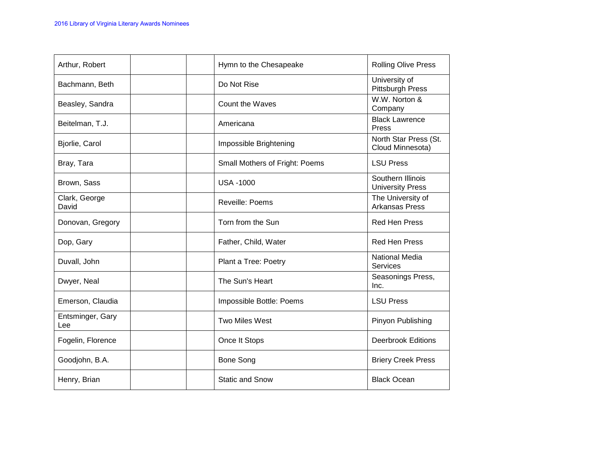| Arthur, Robert          | Hymn to the Chesapeake         | <b>Rolling Olive Press</b>                   |
|-------------------------|--------------------------------|----------------------------------------------|
| Bachmann, Beth          | Do Not Rise                    | University of<br><b>Pittsburgh Press</b>     |
| Beasley, Sandra         | Count the Waves                | W.W. Norton &<br>Company                     |
| Beitelman, T.J.         | Americana                      | <b>Black Lawrence</b><br>Press               |
| Bjorlie, Carol          | Impossible Brightening         | North Star Press (St.<br>Cloud Minnesota)    |
| Bray, Tara              | Small Mothers of Fright: Poems | <b>LSU Press</b>                             |
| Brown, Sass             | <b>USA -1000</b>               | Southern Illinois<br><b>University Press</b> |
| Clark, George<br>David  | <b>Reveille: Poems</b>         | The University of<br><b>Arkansas Press</b>   |
| Donovan, Gregory        | Torn from the Sun              | <b>Red Hen Press</b>                         |
| Dop, Gary               | Father, Child, Water           | <b>Red Hen Press</b>                         |
| Duvall, John            | Plant a Tree: Poetry           | National Media<br>Services                   |
| Dwyer, Neal             | The Sun's Heart                | Seasonings Press,<br>Inc.                    |
| Emerson, Claudia        | Impossible Bottle: Poems       | <b>LSU Press</b>                             |
| Entsminger, Gary<br>Lee | Two Miles West                 | Pinyon Publishing                            |
| Fogelin, Florence       | Once It Stops                  | <b>Deerbrook Editions</b>                    |
| Goodjohn, B.A.          | <b>Bone Song</b>               | <b>Briery Creek Press</b>                    |
| Henry, Brian            | <b>Static and Snow</b>         | <b>Black Ocean</b>                           |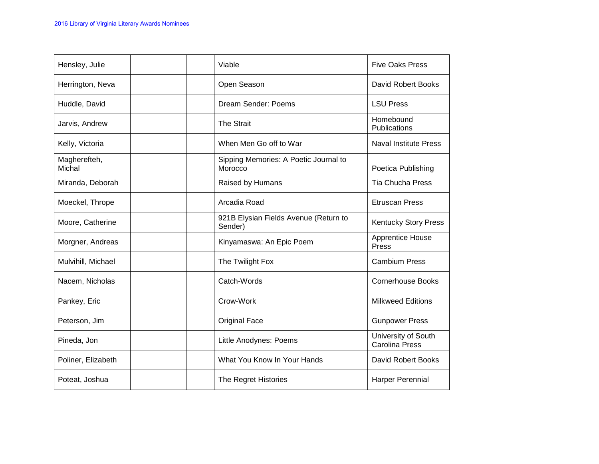| Hensley, Julie         | Viable                                           | <b>Five Oaks Press</b>                       |
|------------------------|--------------------------------------------------|----------------------------------------------|
| Herrington, Neva       | Open Season                                      | David Robert Books                           |
| Huddle, David          | Dream Sender: Poems                              | <b>LSU Press</b>                             |
| Jarvis, Andrew         | The Strait                                       | Homebound<br>Publications                    |
| Kelly, Victoria        | When Men Go off to War                           | <b>Naval Institute Press</b>                 |
| Magherefteh,<br>Michal | Sipping Memories: A Poetic Journal to<br>Morocco | Poetica Publishing                           |
| Miranda, Deborah       | Raised by Humans                                 | <b>Tia Chucha Press</b>                      |
| Moeckel, Thrope        | Arcadia Road                                     | <b>Etruscan Press</b>                        |
| Moore, Catherine       | 921B Elysian Fields Avenue (Return to<br>Sender) | <b>Kentucky Story Press</b>                  |
| Morgner, Andreas       | Kinyamaswa: An Epic Poem                         | Apprentice House<br>Press                    |
| Mulvihill, Michael     | The Twilight Fox                                 | <b>Cambium Press</b>                         |
| Nacem, Nicholas        | Catch-Words                                      | <b>Cornerhouse Books</b>                     |
| Pankey, Eric           | Crow-Work                                        | <b>Milkweed Editions</b>                     |
| Peterson, Jim          | <b>Original Face</b>                             | <b>Gunpower Press</b>                        |
| Pineda, Jon            | Little Anodynes: Poems                           | University of South<br><b>Carolina Press</b> |
| Poliner, Elizabeth     | What You Know In Your Hands                      | David Robert Books                           |
| Poteat, Joshua         | The Regret Histories                             | Harper Perennial                             |